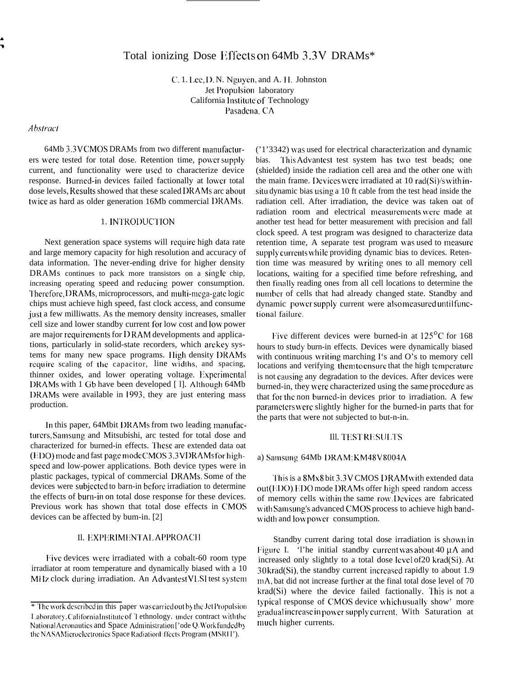# Total ionizing Dose Effects on 64Mb 3.3V DRAMs\*

C. 1. Lee, D. N. Nguyen, and A. H. Johnston Jet Propulsion laboratory California Institute of Technology Pasadena, CA

## **Abstract**

64Mb 3.3V CMOS DRAMs from two different manufacturers were tested for total dose. Retention time, power supply current, and functionality were used to characterize device response. Burned-in devices failed factionally at lower total dose levels, Results showed that these scaled DRAMs arc about twice as hard as older generation 16Mb commercial DRAMs.

# 1. INTRODUCTION

Next generation space systems will require high data rate and large memory capacity for high resolution and accuracy of data information. The never-ending drive for higher density DRAMs continues to pack more transistors on a single chip, increasing operating speed and reducing power consumption. Therefore, DRAMs, microprocessors, and multi-mega-gate logic chips must achieve high speed, fast clock access, and consume just a few milliwatts. As the memory density increases, smaller cell size and lower standby current for low cost and low power are major requirements for DRAM developments and applications, particularly in solid-state recorders, which are key systems for many new space programs. High density DRAMs require scaling of the capacitor, line widths, and spacing, thinner oxides, and lower operating voltage. Experimental DRAMs with 1 Gb have been developed [1]. Although 64Mb DRAMs were available in 1993, they are just entering mass production.

In this paper, 64Mbit DRAMs from two leading manufacturers, Samsung and Mitsubishi, arc tested for total dose and characterized for burned-in effects. These are extended data oat (EDO) mode and fast page mode CMOS 3.3 VDRAMs for highspeed and low-power applications. Both device types were in plastic packages, typical of commercial DRAMs. Some of the devices were subjected to barn-in before irradiation to determine the effects of burn-in on total dose response for these devices. Previous work has shown that total dose effects in CMOS devices can be affected by bum-in. [2]

## II. EXPERIMENTAL APPROACH

Five devices were irradiated with a cobalt-60 room type irradiator at room temperature and dynamically biased with a 10 MHz clock during irradiation. An Advantest VLSI test system

('1'3342) was used for electrical characterization and dynamic bias. This Advantest test system has two test beads; one (shielded) inside the radiation cell area and the other one with the main frame. Devices were irradiated at 10 rad(Si)/s with insitu dynamic bias using a 10 ft cable from the test head inside the radiation cell. After irradiation, the device was taken oat of radiation room and electrical measurements were made at another test head for better measurement with precision and fall clock speed. A test program was designed to characterize data retention time, A separate test program was used to measure supply currents while providing dynamic bias to devices. Retention time was measured by writing ones to all memory cell locations, waiting for a specified time before refreshing, and then finally reading ones from all cell locations to determine the number of cells that had already changed state. Standby and dynamic power supply current were also measured until functional failure.

Five different devices were burned-in at  $125^{\circ}$ C for 168 hours to study burn-in effects. Devices were dynamically biased with continuous writing marching  $I$ 's and  $O$ 's to memory cell locations and verifying them to ensure that the high temperature is not causing any degradation to the devices. After devices were burned-in, they were characterized using the same procedure as that for the non burned-in devices prior to irradiation. A few parameters were slightly higher for the burned-in parts that for the parts that were not subjected to but-n-in.

## **III. TEST RESULTS**

## a) Samsung 64Mb DRAM: KM48V8004A

This is a 8Mx8 bit 3.3V CMOS DRAM with extended data out(EDO).EDO mode DRAMs offer high speed random access of memory cells within the same row. Devices are fabricated with Samsung's advanced CMOS process to achieve high bandwidth and low power consumption.

Standby current daring total dose irradiation is shown in Figure I. '1'he initial standby current was about 40 µA and increased only slightly to a total dose level of 20 krad(Si). At  $30$  krad(Si), the standby current increased rapidly to about 1.9 mA, bat did not increase further at the final total dose level of 70 krad(Si) where the device failed factionally. This is not a typical response of CMOS device whichusually show' more gradual increase in power supply current, With Saturation at much higher currents.

<sup>\*</sup> The work described in this paper was carried out by the Jet Propulsion Laboratory, California Institute of T ethnology. under contract with the National Aeronautics and Space Administration ['ode Q. Work funded by the NASAMicroelectronics Space RadiationEffects Program (MSRHI').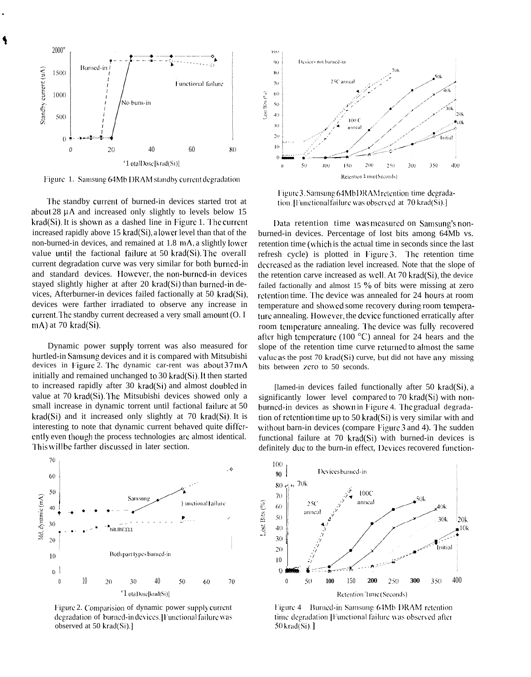

Figure 1. Samsung 64Mb DRAM standby current degradation

The standby current of burned-in devices started trot at about  $28 \mu A$  and increased only slightly to levels below 15 krad(Si). It is shown as a dashed line in Figure 1. The current increased rapidly above 15 krad(Si), a lower level than that of the non-burned-in devices, and remained at 1.8 mA, a slightly lower value until the factional failure at 50 krad(Si). The overall current degradation curve was very similar for both burned-in and standard devices. However, the non-burned-in devices stayed slightly higher at after 20 krad(Si) than burned-in devices, Afterburner-in devices failed factionally at 50 krad(Si), devices were farther irradiated to observe any increase in current. The standby current decreased a very small amount (O. I mA) at 70 krad(Si).

Dynamic power supply torrent was also measured for hurtled-in Samsung devices and it is compared with Mitsubishi devices in Figure 2. The dynamic car-rent was about 37 mA initially and remained unchanged to 30 krad(Si). It then started to increased rapidly after 30 krad(Si) and almost doubled in value at 70 krad(Si). The Mitsubishi devices showed only a small increase in dynamic torrent until factional failure at 50 krad(Si) and it increased only slightly at 70 krad(Si). It is interesting to note that dynamic current behaved quite differently even though the process technologies are almost identical. This will be farther discussed in later section.



Figure 2. Comparision of dynamic power supply current degradation of burned-in devices. [Functional failure was observed at 50 krad(Si).]



Figure 3. Samsung 64MbDRAM retention time degradation. [Functionalfailure was observed at 70 krad(Si).]

Data retention time was measured on Samsung's nonburned-in devices. Percentage of lost bits among 64Mb vs. retention time (which is the actual time in seconds since the last refresh cycle) is plotted in Figure 3. The retention time decreased as the radiation level increased. Note that the slope of the retention carve increased as well. At 70 krad(Si), the device failed factionally and almost 15  $\%$  of bits were missing at zero retention time. The device was annealed for 24 hours at room temperature and showed some recovery during room temperature annealing. However, the device functioned erratically after room temperature annealing. The device was fully recovered after high temperature (100  $^{\circ}$ C) anneal for 24 hears and the slope of the retention time curve returned to almost the same value as the post 70 krad( $Si$ ) curve, but did not have any missing bits between zero to 50 seconds.

[lamed-in devices failed functionally after 50 krad(Si), a significantly lower level compared to 70 krad(Si) with nonburned-in devices as shown in Figure 4. The gradual degradation of retention time up to 50 krad(Si) is very similar with and without barn-in devices (compare Figure 3 and 4). The sudden functional failure at 70 krad(Si) with burned-in devices is definitely due to the burn-in effect, Devices recovered function-



Figure 4 Burned-in Samsung 64Mb DRAM retention time degradation [Functional failure was observed after 50 krad(Si).]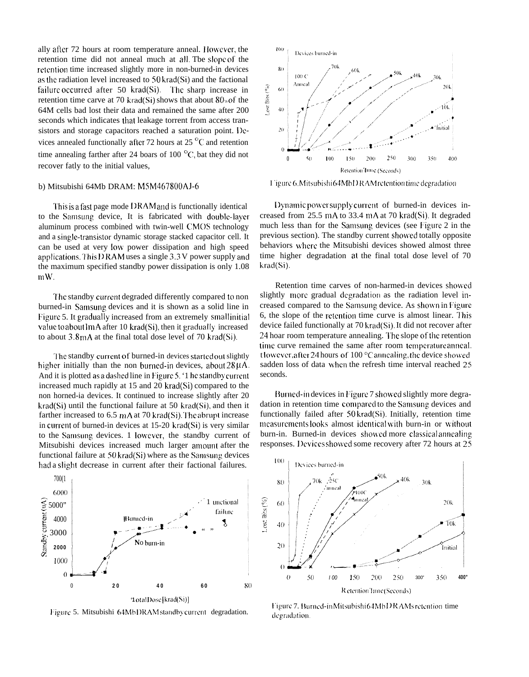ally after 72 hours at room temperature anneal. However, the retention time did not anneal much at all. Tbe slope of the retention time increased slightly more in non-burned-in devices as the radiation level increased to 50 krad(Si) and the factional failure occurred after  $50$  krad(Si). The sharp increase in retention time carve at 70 krad(Si) shows that about  $80<sub>10</sub>$  of the 64M cells bad lost their data and remained the same after 200 seconds which indicates that leakage torrent from access transistors and storage capacitors reached a saturation point. I)evices annealed functionally after 72 hours at 25 $\mathrm{^{\circ}C}$  and retention time annealing farther after 24 boars of 100 $\degree$ C, bat they did not recover fatly to the initial values,

#### b) Mitsubishi 64Mb DRAM: M5M467800AI-6

'l'his isafast page mode I) RAM and is functionally identical to the Samsung device, It is fabricated with doable-layer aluminum process combined with twin-well CMOS technology and a single-transistor dynamic storage stacked capacitor cell. It can be used at very low power dissipation and high speed applications. This DRAM uses a single 3.3 V power supply and the maximum specified standby power dissipation is only 1.08 m W.

The standby current degraded differently compared to non burned-in Samsang devices and it is shown as a solid line in Figure 5. It gradually increased from an extremely small initial value to about  $1 mA$  after 10 krad(Si), then it gradually increased to about  $3.8 \text{ mA}$  at the final total dose level of 70 krad(Si).

The standby current of burned-in devices started out slightly higher initially than the non burned-in devices, about  $28 \mu A$ . And it is plotted as a dashed line in Figure 5. '1 he standby current increased much rapidly at 15 and 20 krad(Si) compared to the non horned-ia devices. It continued to increase slightly after 20 krad(Si) until the functional failure at 50 krad(Si), and then it farther increased to 6.5  $mA$  at 70 krad(Si). The abrupt increase in current of burned-in devices at  $15{\text -}20$  krad $(S<sub>i</sub>)$  is very similar to the Samsung devices. 1 lowever, the standby current of Mitsubishi devices increased much larger amount after the functional failure at  $50$  krad(Si) where as the Samsung devices had a slight decrease in current after their factional failures.



Figure 5. Mitsubishi 64Mb DRAM standby current degradation.



I 'igure 6. Mitsubishi 64Mb D RAM retention time degradation

Dynamic power supply current of burned-in devices increased from  $25.5$  mA to  $33.4$  mA at 70 krad(Si). It degraded much less than for the Samsung devices (see Figure 2 in the previous section). The standby current showed totally opposite behaviors where the Mitsubishi devices showed almost three time higher degradation at the final total dose level of 70 krad(Si).

Retention time carves of non-harmed-in devices showed slightly more gradual degradation as the radiation level increased compared to the Samsung device. As shown in Figure 6, the slope of the retention time curve is almost linear. This device failed functionally at 70 krad(Si). It did not recover after 24 hoar room temperature annealing. The slope of the retention time curve remained the same after room temperature anneal. t lowever, after 24 hours of  $100^{\circ}$ C annealing, the device showed sadden loss of data when the refresh time interval reached 25 seconds.

Burned-in devices in Figure 7 showed slightly more degradation in retention time compared to the Samsung devices and functionally failed after 50 krad(Si). Initially, retention time measurements looks almost identical with burn-in or without burn-in. Burned-in devices showed more classical annealing responses. Devices showed some recovery after 72 hours at 25



l'igure 7. Burned-in Mitsubishi 64MbDR AMs retention time degradation.